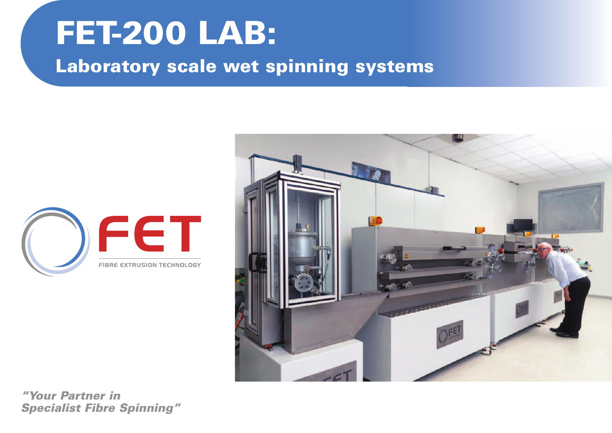



*"Your Partner in Specialist Fibre Spinning"*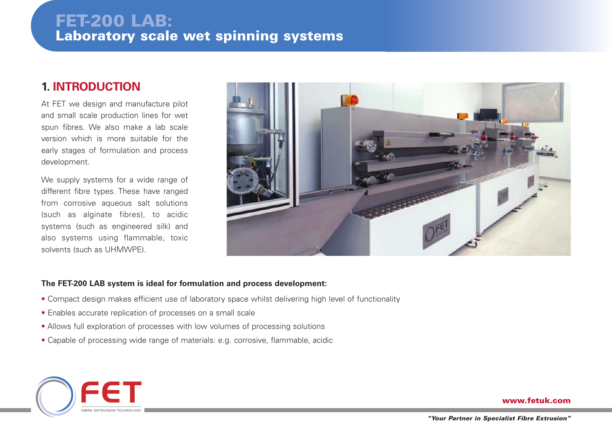### **1. INTRODUCTION**

At FET we design and manufacture pilot and small scale production lines for wet spun fibres. We also make a lab scale version which is more suitable for the early stages of formulation and process development.

We supply systems for a wide range of different fibre types. These have ranged from corrosive aqueous salt solutions (such as alginate fibres), to acidic systems (such as engineered silk) and also systems using flammable, toxic solvents (such as UHMWPE).



#### **The FET-200 LAB system is ideal for formulation and process development:**

- Compact design makes efficient use of laboratory space whilst delivering high level of functionality
- Enables accurate replication of processes on a small scale
- Allows full exploration of processes with low volumes of processing solutions
- Capable of processing wide range of materials: e.g. corrosive, flammable, acidic

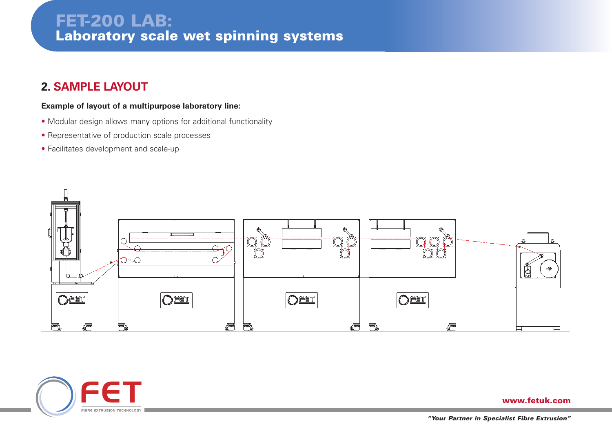### **2. SAMPLE LAYOUT**

#### **Example of layout of a multipurpose laboratory line:**

- Modular design allows many options for additional functionality
- Representative of production scale processes
- Facilitates development and scale-up



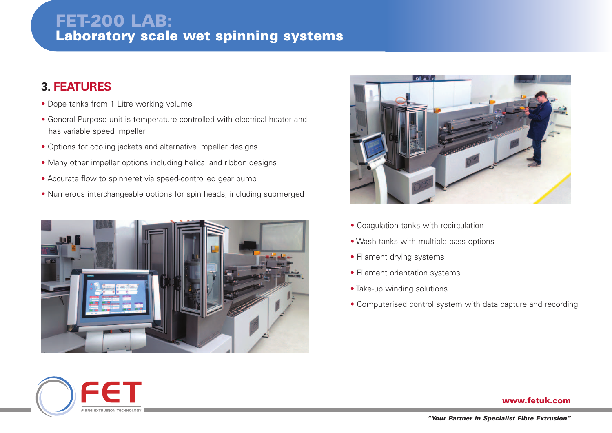### **3. FEATURES**

• Dope tanks from 1 Litre working volume

FE F

FIBRE EXTRUSION TECHNOLOGY

- General Purpose unit is temperature controlled with electrical heater and has variable speed impeller
- Options for cooling jackets and alternative impeller designs
- Many other impeller options including helical and ribbon designs
- Accurate flow to spinneret via speed-controlled gear pump
- Numerous interchangeable options for spin heads, including submerged





- Coagulation tanks with recirculation
- Wash tanks with multiple pass options
- Filament drying systems
- Filament orientation systems
- Take-up winding solutions
- Computerised control system with data capture and recording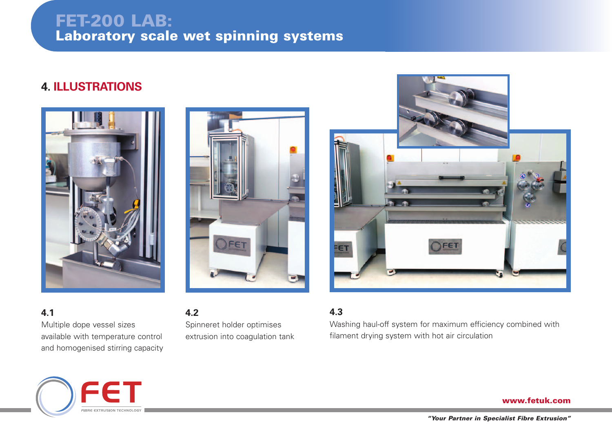### **3. FET-200 TYPICAL SCHEMATIC FET-200 LAB: Laboratory scale wet spinning systems**

### **4. ILLUSTRATIONS**





FET

FIBRE EXTRUSION TECHNOLOGY



**4.2** Spinneret holder optimises extrusion into coagulation tank

### **4.3**

Washing haul-off system for maximum efficiency combined with filament drying system with hot air circulation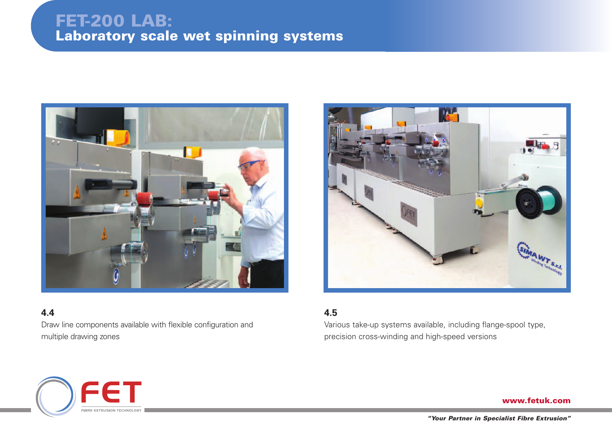

### **4.4**

Draw line components available with flexible configuration and multiple drawing zones



#### **4.5**

Various take-up systems available, including flange-spool type, precision cross-winding and high-speed versions